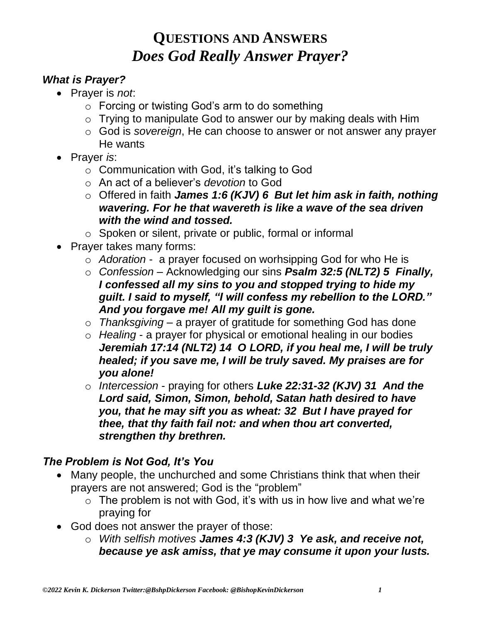#### *What is Prayer?*

- Prayer is *not*:
	- o Forcing or twisting God's arm to do something
	- o Trying to manipulate God to answer our by making deals with Him
	- o God is *sovereign*, He can choose to answer or not answer any prayer He wants
- Prayer *is*:
	- o Communication with God, it's talking to God
	- o An act of a believer's *devotion* to God
	- o Offered in faith *James 1:6 (KJV) 6 But let him ask in faith, nothing wavering. For he that wavereth is like a wave of the sea driven with the wind and tossed.*
	- o Spoken or silent, private or public, formal or informal
- Prayer takes many forms:
	- o *Adoration* a prayer focused on worhsipping God for who He is
	- o *Confession* Acknowledging our sins *Psalm 32:5 (NLT2) 5 Finally, I confessed all my sins to you and stopped trying to hide my guilt. I said to myself, "I will confess my rebellion to the LORD." And you forgave me! All my guilt is gone.*
	- o *Thanksgiving* a prayer of gratitude for something God has done
	- o *Healing* a prayer for physical or emotional healing in our bodies *Jeremiah 17:14 (NLT2) 14 O LORD, if you heal me, I will be truly healed; if you save me, I will be truly saved. My praises are for you alone!*
	- o *Intercession* praying for others *Luke 22:31-32 (KJV) 31 And the Lord said, Simon, Simon, behold, Satan hath desired to have you, that he may sift you as wheat: 32 But I have prayed for thee, that thy faith fail not: and when thou art converted, strengthen thy brethren.*

#### *The Problem is Not God, It's You*

- Many people, the unchurched and some Christians think that when their prayers are not answered; God is the "problem"
	- $\circ$  The problem is not with God, it's with us in how live and what we're praying for
- God does not answer the prayer of those:
	- o *With selfish motives James 4:3 (KJV) 3 Ye ask, and receive not, because ye ask amiss, that ye may consume it upon your lusts.*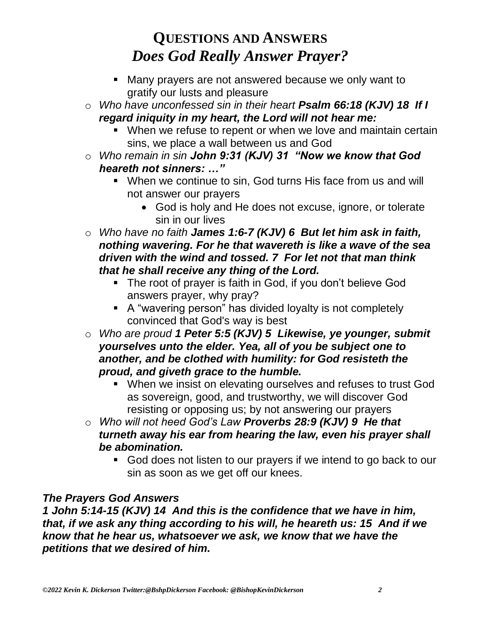- Many prayers are not answered because we only want to gratify our lusts and pleasure
- o *Who have unconfessed sin in their heart Psalm 66:18 (KJV) 18 If I regard iniquity in my heart, the Lord will not hear me:*
	- When we refuse to repent or when we love and maintain certain sins, we place a wall between us and God
- o *Who remain in sin John 9:31 (KJV) 31 "Now we know that God heareth not sinners: …"*
	- When we continue to sin, God turns His face from us and will not answer our prayers
		- God is holy and He does not excuse, ignore, or tolerate sin in our lives
- o *Who have no faith James 1:6-7 (KJV) 6 But let him ask in faith, nothing wavering. For he that wavereth is like a wave of the sea driven with the wind and tossed. 7 For let not that man think that he shall receive any thing of the Lord.*
	- **The root of prayer is faith in God, if you don't believe God** answers prayer, why pray?
	- A "wavering person" has divided loyalty is not completely convinced that God's way is best
- o *Who are proud 1 Peter 5:5 (KJV) 5 Likewise, ye younger, submit yourselves unto the elder. Yea, all of you be subject one to another, and be clothed with humility: for God resisteth the proud, and giveth grace to the humble.* 
	- When we insist on elevating ourselves and refuses to trust God as sovereign, good, and trustworthy, we will discover God resisting or opposing us; by not answering our prayers
- o *Who will not heed God's Law Proverbs 28:9 (KJV) 9 He that turneth away his ear from hearing the law, even his prayer shall be abomination.* 
	- God does not listen to our prayers if we intend to go back to our sin as soon as we get off our knees.

#### *The Prayers God Answers*

*1 John 5:14-15 (KJV) 14 And this is the confidence that we have in him, that, if we ask any thing according to his will, he heareth us: 15 And if we know that he hear us, whatsoever we ask, we know that we have the petitions that we desired of him.*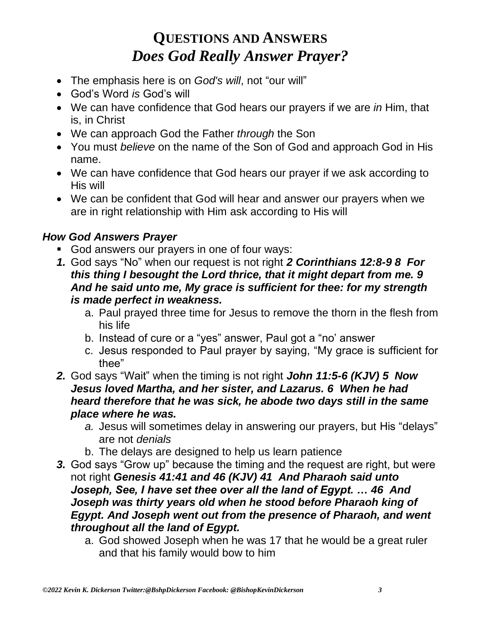- The emphasis here is on *God's will*, not "our will"
- God's Word *is* God's will
- We can have confidence that God hears our prayers if we are *in* Him, that is, in Christ
- We can approach God the Father *through* the Son
- You must *believe* on the name of the Son of God and approach God in His name.
- We can have confidence that God hears our prayer if we ask according to His will
- We can be confident that God will hear and answer our prayers when we are in right relationship with Him ask according to His will

#### *How God Answers Prayer*

- God answers our prayers in one of four ways:
- *1.* God says "No" when our request is not right *2 Corinthians 12:8-9 8 For this thing I besought the Lord thrice, that it might depart from me. 9 And he said unto me, My grace is sufficient for thee: for my strength is made perfect in weakness.*
	- a. Paul prayed three time for Jesus to remove the thorn in the flesh from his life
	- b. Instead of cure or a "yes" answer, Paul got a "no' answer
	- c. Jesus responded to Paul prayer by saying, "My grace is sufficient for thee"
- *2.* God says "Wait" when the timing is not right *John 11:5-6 (KJV) 5 Now Jesus loved Martha, and her sister, and Lazarus. 6 When he had heard therefore that he was sick, he abode two days still in the same place where he was.*
	- *a.* Jesus will sometimes delay in answering our prayers, but His "delays" are not *denials*
	- b. The delays are designed to help us learn patience
- *3.* God says "Grow up" because the timing and the request are right, but were not right *Genesis 41:41 and 46 (KJV) 41 And Pharaoh said unto Joseph, See, I have set thee over all the land of Egypt. … 46 And Joseph was thirty years old when he stood before Pharaoh king of Egypt. And Joseph went out from the presence of Pharaoh, and went throughout all the land of Egypt.*
	- a. God showed Joseph when he was 17 that he would be a great ruler and that his family would bow to him